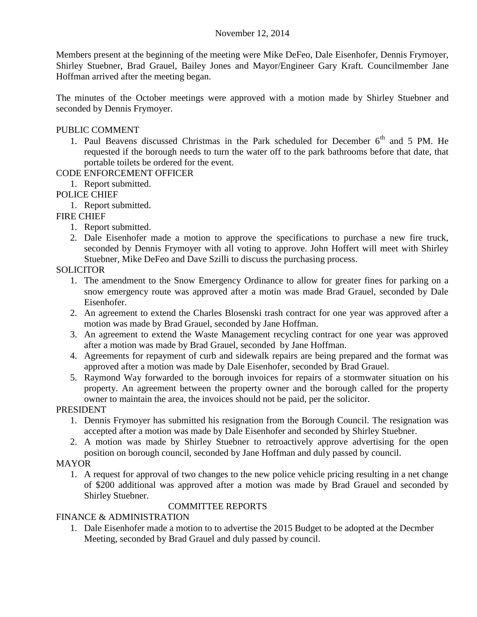### November 12, 2014

Members present at the beginning of the meeting were Mike DeFeo, Dale Eisenhofer, Dennis Frymoyer, Shirley Stuebner, Brad Grauel, Bailey Jones and Mayor/Engineer Gary Kraft. Councilmember Jane Hoffman arrived after the meeting began.

The minutes of the October meetings were approved with a motion made by Shirley Stuebner and seconded by Dennis Frymoyer.

### PUBLIC COMMENT

1. Paul Beavens discussed Christmas in the Park scheduled for December  $6<sup>th</sup>$  and 5 PM. He requested if the borough needs to turn the water off to the park bathrooms before that date, that portable toilets be ordered for the event.

# CODE ENFORCEMENT OFFICER

1. Report submitted.

## POLICE CHIEF

1. Report submitted.

## FIRE CHIEF

- 1. Report submitted.
- 2. Dale Eisenhofer made a motion to approve the specifications to purchase a new fire truck, seconded by Dennis Frymoyer with all voting to approve. John Hoffert will meet with Shirley Stuebner, Mike DeFeo and Dave Szilli to discuss the purchasing process.

### **SOLICITOR**

- 1. The amendment to the Snow Emergency Ordinance to allow for greater fines for parking on a snow emergency route was approved after a motin was made Brad Grauel, seconded by Dale Eisenhofer.
- 2. An agreement to extend the Charles Blosenski trash contract for one year was approved after a motion was made by Brad Grauel, seconded by Jane Hoffman.
- 3. An agreement to extend the Waste Management recycling contract for one year was approved after a motion was made by Brad Grauel, seconded by Jane Hoffman.
- 4. Agreements for repayment of curb and sidewalk repairs are being prepared and the format was approved after a motion was made by Dale Eisenhofer, seconded by Brad Grauel.
- 5. Raymond Way forwarded to the borough invoices for repairs of a stormwater situation on his property. An agreement between the property owner and the borough called for the property owner to maintain the area, the invoices should not be paid, per the solicitor.

#### PRESIDENT

- 1. Dennis Frymoyer has submitted his resignation from the Borough Council. The resignation was accepted after a motion was made by Dale Eisenhofer and seconded by Shirley Stuebner.
- 2. A motion was made by Shirley Stuebner to retroactively approve advertising for the open position on borough council, seconded by Jane Hoffman and duly passed by council.

#### MAYOR

1. A request for approval of two changes to the new police vehicle pricing resulting in a net change of \$200 additional was approved after a motion was made by Brad Grauel and seconded by Shirley Stuebner.

#### COMMITTEE REPORTS

#### FINANCE & ADMINISTRATION

1. Dale Eisenhofer made a motion to to advertise the 2015 Budget to be adopted at the Decmber Meeting, seconded by Brad Grauel and duly passed by council.